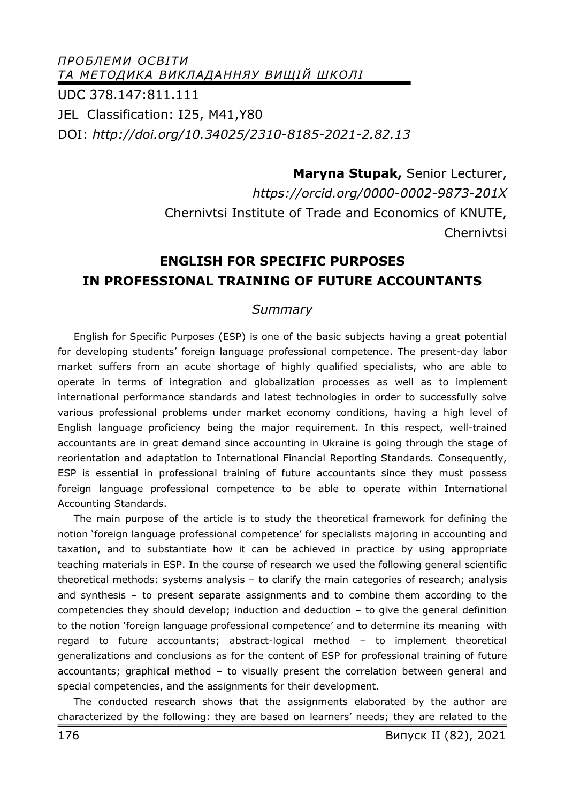*ПРОБЛЕМИ ОСВІТИ ТА МЕТОДИКА ВИКЛАДАННЯУ ВИЩІЙ ШКОЛІ* UDC 378.147:811.111 JEL Classification: I25, M41,Y80 DOI: *http://doi.org/10.34025/2310-8185-2021-2.82.13* 

> **Maryna Stupak,** Senior Lecturer, *https://orcid.org/0000-0002-9873-201X*  Chernivtsi Institute of Trade and Economics of KNUTE, **Chernivtsi**

# **ENGLISH FOR SPECIFIC PURPOSES IN PROFESSIONAL TRAINING OF FUTURE ACCOUNTANTS**

### *Summary*

English for Specific Purposes (ESP) is one of the basic subjects having a great potential for developing students' foreign language professional competence. The present-day labor market suffers from an acute shortage of highly qualified specialists, who are able to operate in terms of integration and globalization processes as well as to implement international performance standards and latest technologies in order to successfully solve various professional problems under market economy conditions, having a high level of English language proficiency being the major requirement. In this respect, well-trained accountants are in great demand since accounting in Ukraine is going through the stage of reorientation and adaptation to International Financial Reporting Standards. Consequently, ESP is essential in professional training of future accountants since they must possess foreign language professional competence to be able to operate within International Accounting Standards.

The main purpose of the article is to study the theoretical framework for defining the notion 'foreign language professional competence' for specialists majoring in accounting and taxation, and to substantiate how it can be achieved in practice by using appropriate teaching materials in ESP. In the course of research we used the following general scientific theoretical methods: systems analysis – to clarify the main categories of research; analysis and synthesis – to present separate assignments and to combine them according to the competencies they should develop; induction and deduction – to give the general definition to the notion 'foreign language professional competence' and to determine its meaning with regard to future accountants; abstract-logical method – to implement theoretical generalizations and conclusions as for the content of ESP for professional training of future accountants; graphical method – to visually present the correlation between general and special competencies, and the assignments for their development.

The conducted research shows that the assignments elaborated by the author are characterized by the following: they are based on learners' needs; they are related to the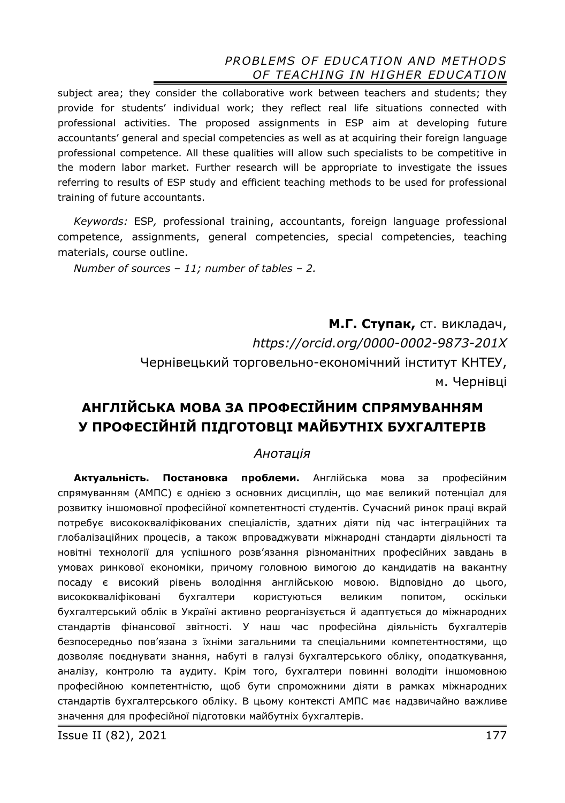subject area; they consider the collaborative work between teachers and students; they provide for students' individual work; they reflect real life situations connected with professional activities. The proposed assignments in ESP aim at developing future accountants' general and special competencies as well as at acquiring their foreign language professional competence. All these qualities will allow such specialists to be competitive in the modern labor market. Further research will be appropriate to investigate the issues referring to results of ESP study and efficient teaching methods to be used for professional training of future accountants.

*Keywords:* ESP*,* professional training, accountants, foreign language professional competence, assignments, general competencies, special competencies, teaching materials, course outline.

*Number of sources – 11; number of tables – 2.* 

**М.Г. Ступак,** ст. викладач, *https://orcid.org/0000-0002-9873-201X*  Чернівецький торговельно-економічний інститут КНТЕУ, м. Чернівці

# **АНГЛІЙСЬКА МОВА ЗА ПРОФЕСІЙНИМ СПРЯМУВАННЯМ У ПРОФЕСІЙНІЙ ПІДГОТОВЦІ МАЙБУТНІХ БУХГАЛТЕРІВ**

#### *Анотація*

**Актуальність. Постановка проблеми.** Англійська мова за професійним спрямуванням (АМПС) є однією з основних дисциплін, що має великий потенціал для розвитку іншомовної професійної компетентності студентів. Сучасний ринок праці вкрай потребує висококваліфікованих спеціалістів, здатних діяти під час інтеграційних та глобалізаційних процесів, а також впроваджувати міжнародні стандарти діяльності та новітні технології для успішного розв'язання різноманітних професійних завдань в умовах ринкової економіки, причому головною вимогою до кандидатів на вакантну посаду є високий рівень володіння англійською мовою. Відповідно до цього, висококваліфіковані бухгалтери користуються великим попитом, оскільки бухгалтерський облік в Україні активно реорганізується й адаптується до міжнародних стандартів фінансової звітності. У наш час професійна діяльність бухгалтерів безпосередньо пов'язана з їхніми загальними та спеціальними компетентностями, що дозволяє поєднувати знання, набуті в галузі бухгалтерського обліку, оподаткування, аналізу, контролю та аудиту. Крім того, бухгалтери повинні володіти іншомовною професійною компетентністю, щоб бути спроможними діяти в рамках міжнародних стандартів бухгалтерського обліку. В цьому контексті АМПС має надзвичайно важливе значення для професійної підготовки майбутніх бухгалтерів.

**Issue II (82), 2021** 177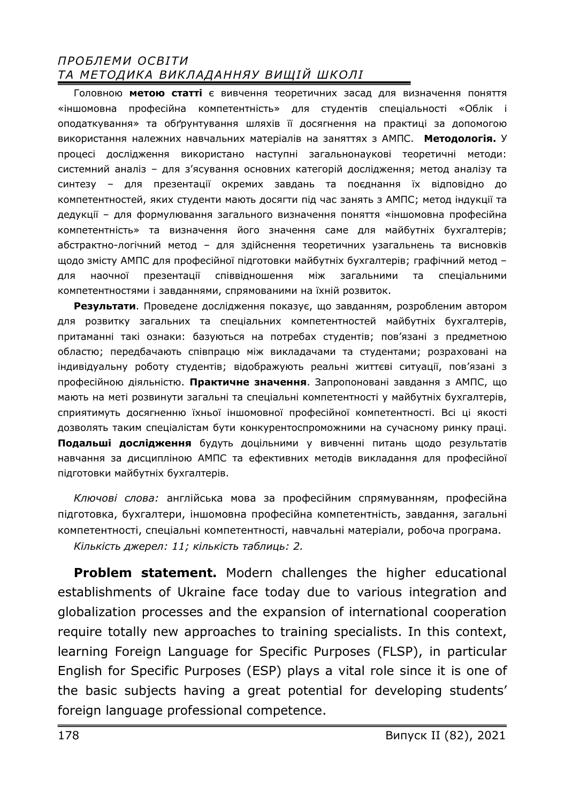Головною **метою статті** є вивчення теоретичних засад для визначення поняття «іншомовна професійна компетентність» для студентів спеціальності «Облік і оподаткування» та обґрунтування шляхів її досягнення на практиці за допомогою використання належних навчальних матеріалів на заняттях з АМПС. **Методологія.** У процесі дослідження використано наступні загальнонаукові теоретичні методи: системний аналіз – для з'ясування основних категорій дослідження; метод аналізу та синтезу – для презентації окремих завдань та поєднання їх відповідно до компетентностей, яких студенти мають досягти під час занять з АМПС; метод індукції та дедукції – для формулювання загального визначення поняття «іншомовна професійна компетентність» та визначення його значення саме для майбутніх бухгалтерів; абстрактно-логічний метод – для здійснення теоретичних узагальнень та висновків щодо змісту АМПС для професійної підготовки майбутніх бухгалтерів; графічний метод – для наочної презентації співвідношення між загальними та спеціальними компетентностями і завданнями, спрямованими на їхній розвиток.

**Результати**. Проведене дослідження показує, що завданням, розробленим автором для розвитку загальних та спеціальних компетентностей майбутніх бухгалтерів, притаманні такі ознаки: базуються на потребах студентів; пов'язані з предметною областю; передбачають співпрацю між викладачами та студентами; розраховані на індивідуальну роботу студентів; відображують реальні життєві ситуації, пов'язані з професійною діяльністю. **Практичне значення**. Запропоновані завдання з АМПС, що мають на меті розвинути загальні та спеціальні компетентності у майбутніх бухгалтерів, сприятимуть досягненню їхньої іншомовної професійної компетентності. Всі ці якості дозволять таким спеціалістам бути конкурентоспроможними на сучасному ринку праці. **Подальші дослідження** будуть доцільними у вивченні питань щодо результатів навчання за дисципліною АМПС та ефективних методів викладання для професійної підготовки майбутніх бухгалтерів.

*Ключові слова:* англійська мова за професійним спрямуванням, професійна підготовка, бухгалтери, іншомовна професійна компетентність, завдання, загальні компетентності, спеціальні компетентності, навчальні матеріали, робоча програма. *Кількість джерел: 11; кількість таблиць: 2.* 

**Problem statement.** Modern challenges the higher educational establishments of Ukraine face today due to various integration and globalization processes and the expansion of international cooperation require totally new approaches to training specialists. In this context, learning Foreign Language for Specific Purposes (FLSP), in particular English for Specific Purposes (ESP) plays a vital role since it is one of the basic subjects having a great potential for developing students' foreign language professional competence.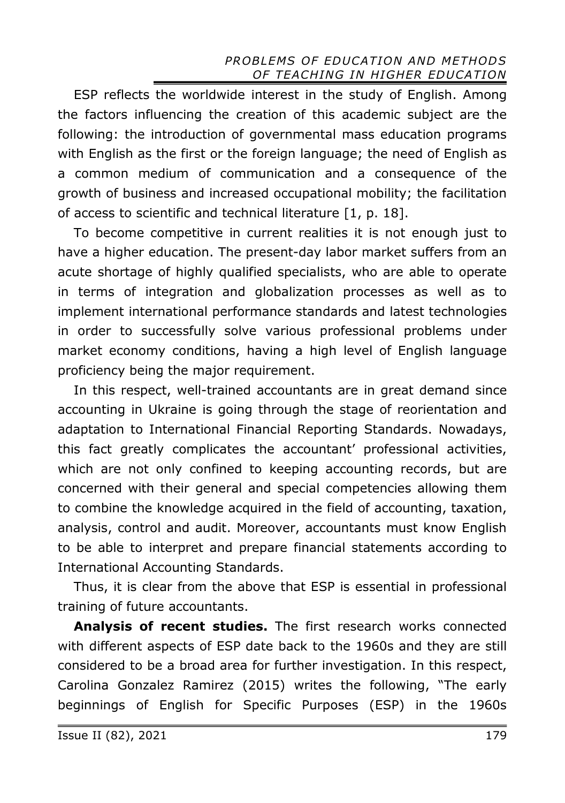ESP reflects the worldwide interest in the study of English. Among the factors influencing the creation of this academic subject are the following: the introduction of governmental mass education programs with English as the first or the foreign language; the need of English as a common medium of communication and a consequence of the growth of business and increased occupational mobility; the facilitation of access to scientific and technical literature [1, p. 18].

To become competitive in current realities it is not enough just to have a higher education. The present-day labor market suffers from an acute shortage of highly qualified specialists, who are able to operate in terms of integration and globalization processes as well as to implement international performance standards and latest technologies in order to successfully solve various professional problems under market economy conditions, having a high level of English language proficiency being the major requirement.

In this respect, well-trained accountants are in great demand since accounting in Ukraine is going through the stage of reorientation and adaptation to International Financial Reporting Standards. Nowadays, this fact greatly complicates the accountant' professional activities, which are not only confined to keeping accounting records, but are concerned with their general and special competencies allowing them to combine the knowledge acquired in the field of accounting, taxation, analysis, control and audit. Moreover, accountants must know English to be able to interpret and prepare financial statements according to International Accounting Standards.

Thus, it is clear from the above that ESP is essential in professional training of future accountants.

**Analysis of recent studies.** The first research works connected with different aspects of ESP date back to the 1960s and they are still considered to be a broad area for further investigation. In this respect, Carolina Gonzalez Ramirez (2015) writes the following, "The early beginnings of English for Specific Purposes (ESP) in the 1960s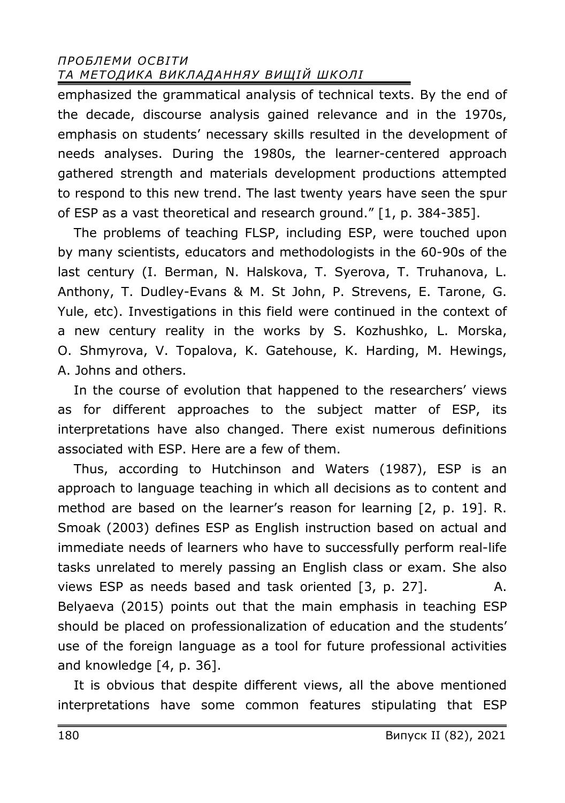emphasized the grammatical analysis of technical texts. By the end of the decade, discourse analysis gained relevance and in the 1970s, emphasis on students' necessary skills resulted in the development of needs analyses. During the 1980s, the learner-centered approach gathered strength and materials development productions attempted to respond to this new trend. The last twenty years have seen the spur of ESP as a vast theoretical and research ground." [1, p. 384-385].

The problems of teaching FLSP, including ESP, were touched upon by many scientists, educators and methodologists in the 60-90s of the last century (I. Berman, N. Halskova, T. Syerova, T. Truhanova, L. Anthony, T. Dudley-Evans & M. St John, P. Strevens, E. Tarone, G. Yule, etc). Investigations in this field were continued in the context of a new century reality in the works by S. Kozhushko, L. Morska, O. Shmyrova, V. Topalova, K. Gatehouse, K. Harding, M. Hewings, A. Johns and others.

In the course of evolution that happened to the researchers' views as for different approaches to the subject matter of ESP, its interpretations have also changed. There exist numerous definitions associated with ESP. Here are a few of them.

Thus, according to Hutchinson and Waters (1987), ESP is an approach to language teaching in which all decisions as to content and method are based on the learner's reason for learning [2, p. 19]. R. Smoak (2003) defines ESP as English instruction based on actual and immediate needs of learners who have to successfully perform real-life tasks unrelated to merely passing an English class or exam. She also views ESP as needs based and task oriented [3, p. 27]. A. Belyaeva (2015) points out that the main emphasis in teaching ESP should be placed on professionalization of education and the students' use of the foreign language as a tool for future professional activities and knowledge [4, p. 36].

It is obvious that despite different views, all the above mentioned interpretations have some common features stipulating that ESP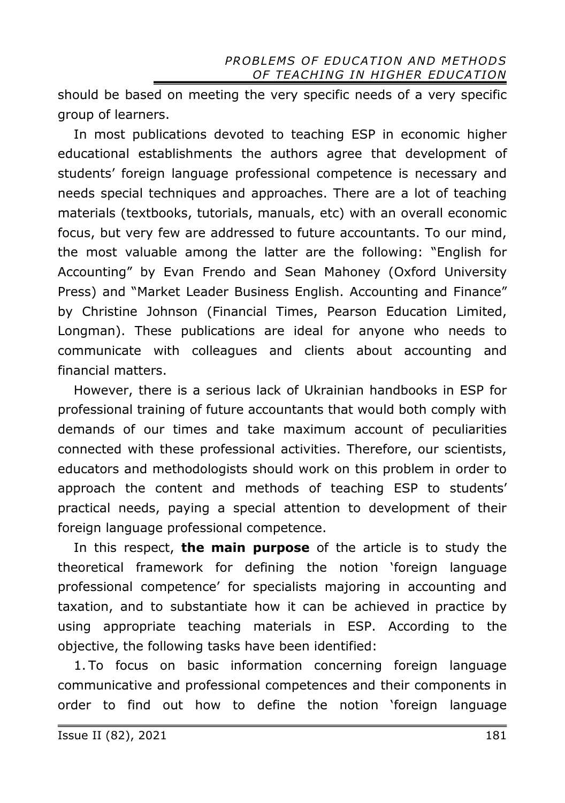should be based on meeting the very specific needs of a very specific group of learners.

In most publications devoted to teaching ESP in economic higher educational establishments the authors agree that development of students' foreign language professional competence is necessary and needs special techniques and approaches. There are a lot of teaching materials (textbooks, tutorials, manuals, etc) with an overall economic focus, but very few are addressed to future accountants. To our mind, the most valuable among the latter are the following: "English for Accounting" by Evan Frendo and Sean Mahoney (Oxford University Press) and "Market Leader Business English. Accounting and Finance" by Christine Johnson (Financial Times, Pearson Education Limited, Longman). These publications are ideal for anyone who needs to communicate with colleagues and clients about accounting and financial matters.

However, there is a serious lack of Ukrainian handbooks in ESP for professional training of future accountants that would both comply with demands of our times and take maximum account of peculiarities connected with these professional activities. Therefore, our scientists, educators and methodologists should work on this problem in order to approach the content and methods of teaching ESP to students' practical needs, paying a special attention to development of their foreign language professional competence.

In this respect, **the main purpose** of the article is to study the theoretical framework for defining the notion 'foreign language professional competence' for specialists majoring in accounting and taxation, and to substantiate how it can be achieved in practice by using appropriate teaching materials in ESP. According to the objective, the following tasks have been identified:

1. To focus on basic information concerning foreign language communicative and professional competences and their components in order to find out how to define the notion 'foreign language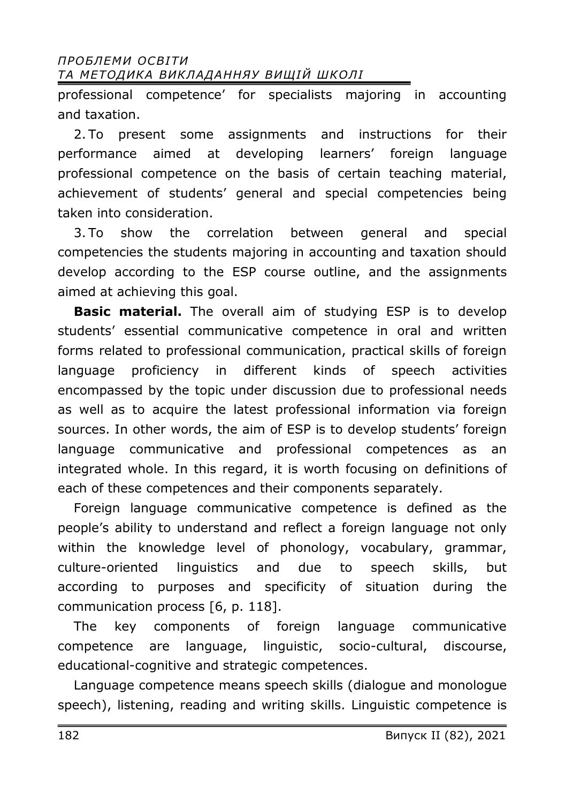professional competence' for specialists majoring in accounting and taxation.

2. To present some assignments and instructions for their performance aimed at developing learners' foreign language professional competence on the basis of certain teaching material, achievement of students' general and special competencies being taken into consideration.

3. To show the correlation between general and special competencies the students majoring in accounting and taxation should develop according to the ESP course outline, and the assignments aimed at achieving this goal.

**Basic material.** The overall aim of studying ESP is to develop students' essential communicative competence in oral and written forms related to professional communication, practical skills of foreign language proficiency in different kinds of speech activities encompassed by the topic under discussion due to professional needs as well as to acquire the latest professional information via foreign sources. In other words, the aim of ESP is to develop students' foreign language communicative and professional competences as an integrated whole. In this regard, it is worth focusing on definitions of each of these competences and their components separately.

Foreign language communicative competence is defined as the people's ability to understand and reflect a foreign language not only within the knowledge level of phonology, vocabulary, grammar, culture-oriented linguistics and due to speech skills, but according to purposes and specificity of situation during the communication process [6, p. 118].

The key components of foreign language communicative competence are language, linguistic, socio-cultural, discourse, educational-cognitive and strategic competences.

Language competence means speech skills (dialogue and monologue speech), listening, reading and writing skills. Linguistic competence is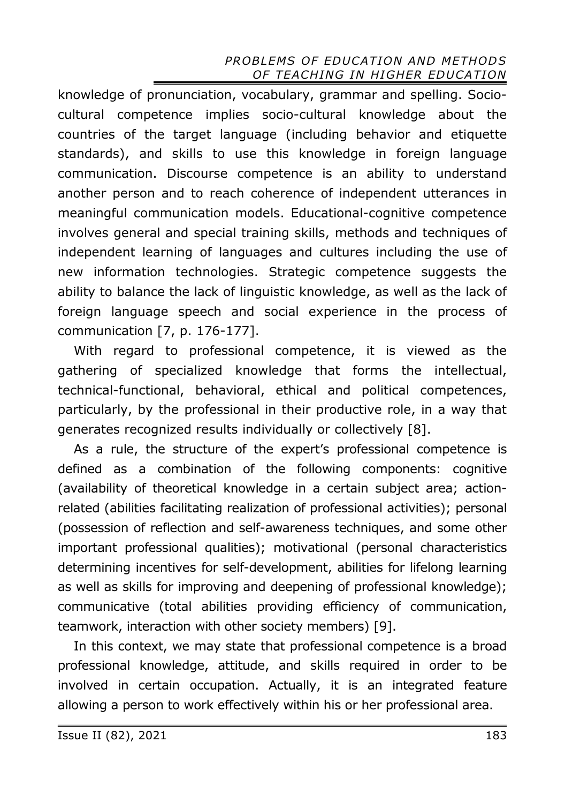knowledge of pronunciation, vocabulary, grammar and spelling. Sociocultural competence implies socio-cultural knowledge about the countries of the target language (including behavior and etiquette standards), and skills to use this knowledge in foreign language communication. Discourse competence is an ability to understand another person and to reach coherence of independent utterances in meaningful communication models. Educational-cognitive competence involves general and special training skills, methods and techniques of independent learning of languages and cultures including the use of new information technologies. Strategic competence suggests the ability to balance the lack of linguistic knowledge, as well as the lack of foreign language speech and social experience in the process of communication [7, p. 176-177].

With regard to professional competence, it is viewed as the gathering of specialized knowledge that forms the intellectual, technical-functional, behavioral, ethical and political competences, particularly, by the professional in their productive role, in a way that generates recognized results individually or collectively [8].

As a rule, the structure of the expert's professional competence is defined as a combination of the following components: cognitive (availability of theoretical knowledge in a certain subject area; actionrelated (abilities facilitating realization of professional activities); personal (possession of reflection and self-awareness techniques, and some other important professional qualities); motivational (personal characteristics determining incentives for self-development, abilities for lifelong learning as well as skills for improving and deepening of professional knowledge); communicative (total abilities providing efficiency of communication, teamwork, interaction with other society members) [9].

In this context, we may state that professional competence is a broad professional knowledge, attitude, and skills required in order to be involved in certain occupation. Actually, it is an integrated feature allowing a person to work effectively within his or her professional area.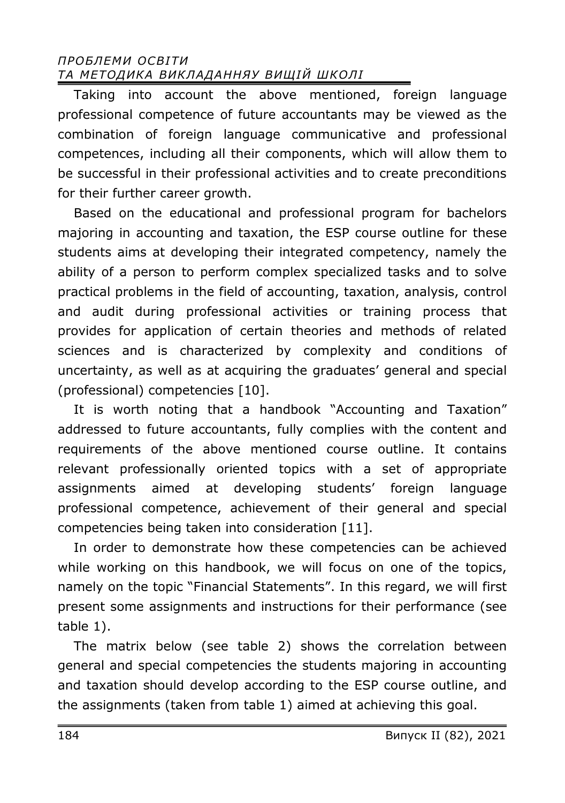Taking into account the above mentioned, foreign language professional competence of future accountants may be viewed as the combination of foreign language communicative and professional competences, including all their components, which will allow them to be successful in their professional activities and to create preconditions for their further career growth.

Based on the educational and professional program for bachelors majoring in accounting and taxation, the ESP course outline for these students aims at developing their integrated competency, namely the ability of a person to perform complex specialized tasks and to solve practical problems in the field of accounting, taxation, analysis, control and audit during professional activities or training process that provides for application of certain theories and methods of related sciences and is characterized by complexity and conditions of uncertainty, as well as at acquiring the graduates' general and special (professional) competencies [10].

It is worth noting that a handbook "Accounting and Taxation" addressed to future accountants, fully complies with the content and requirements of the above mentioned course outline. It contains relevant professionally oriented topics with a set of appropriate assignments aimed at developing students' foreign language professional competence, achievement of their general and special competencies being taken into consideration [11].

In order to demonstrate how these competencies can be achieved while working on this handbook, we will focus on one of the topics, namely on the topic "Financial Statements". In this regard, we will first present some assignments and instructions for their performance (see table 1).

The matrix below (see table 2) shows the correlation between general and special competencies the students majoring in accounting and taxation should develop according to the ESP course outline, and the assignments (taken from table 1) aimed at achieving this goal.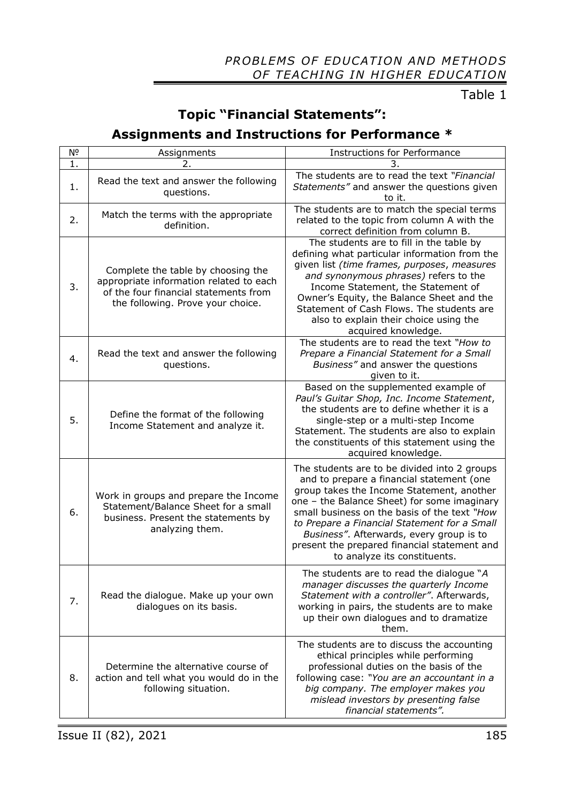Table 1

# **Topic "Financial Statements":**

# **Assignments and Instructions for Performance \***

| Nº | Assignments                                                                                                                                                 | <b>Instructions for Performance</b>                                                                                                                                                                                                                                                                                                                                                                               |  |  |  |  |  |
|----|-------------------------------------------------------------------------------------------------------------------------------------------------------------|-------------------------------------------------------------------------------------------------------------------------------------------------------------------------------------------------------------------------------------------------------------------------------------------------------------------------------------------------------------------------------------------------------------------|--|--|--|--|--|
| 1. | 2.                                                                                                                                                          |                                                                                                                                                                                                                                                                                                                                                                                                                   |  |  |  |  |  |
| 1. | Read the text and answer the following<br>questions.                                                                                                        | The students are to read the text "Financial<br>Statements" and answer the questions given<br>to it.                                                                                                                                                                                                                                                                                                              |  |  |  |  |  |
| 2. | Match the terms with the appropriate<br>definition.                                                                                                         | The students are to match the special terms<br>related to the topic from column A with the<br>correct definition from column B.                                                                                                                                                                                                                                                                                   |  |  |  |  |  |
| 3. | Complete the table by choosing the<br>appropriate information related to each<br>of the four financial statements from<br>the following. Prove your choice. | The students are to fill in the table by<br>defining what particular information from the<br>given list (time frames, purposes, measures<br>and synonymous phrases) refers to the<br>Income Statement, the Statement of<br>Owner's Equity, the Balance Sheet and the<br>Statement of Cash Flows. The students are<br>also to explain their choice using the<br>acquired knowledge.                                |  |  |  |  |  |
| 4. | Read the text and answer the following<br>questions.                                                                                                        | The students are to read the text "How to<br>Prepare a Financial Statement for a Small<br>Business" and answer the questions<br>given to it.                                                                                                                                                                                                                                                                      |  |  |  |  |  |
| 5. | Define the format of the following<br>Income Statement and analyze it.                                                                                      | Based on the supplemented example of<br>Paul's Guitar Shop, Inc. Income Statement,<br>the students are to define whether it is a<br>single-step or a multi-step Income<br>Statement. The students are also to explain<br>the constituents of this statement using the<br>acquired knowledge.                                                                                                                      |  |  |  |  |  |
| 6. | Work in groups and prepare the Income<br>Statement/Balance Sheet for a small<br>business. Present the statements by<br>analyzing them.                      | The students are to be divided into 2 groups<br>and to prepare a financial statement (one<br>group takes the Income Statement, another<br>one - the Balance Sheet) for some imaginary<br>small business on the basis of the text "How<br>to Prepare a Financial Statement for a Small<br>Business". Afterwards, every group is to<br>present the prepared financial statement and<br>to analyze its constituents. |  |  |  |  |  |
| 7. | Read the dialogue. Make up your own<br>dialogues on its basis.                                                                                              | The students are to read the dialogue "A<br>manager discusses the quarterly Income<br>Statement with a controller". Afterwards,<br>working in pairs, the students are to make<br>up their own dialogues and to dramatize<br>them.                                                                                                                                                                                 |  |  |  |  |  |
| 8. | Determine the alternative course of<br>action and tell what you would do in the<br>following situation.                                                     | The students are to discuss the accounting<br>ethical principles while performing<br>professional duties on the basis of the<br>following case: "You are an accountant in a<br>big company. The employer makes you<br>mislead investors by presenting false<br>financial statements".                                                                                                                             |  |  |  |  |  |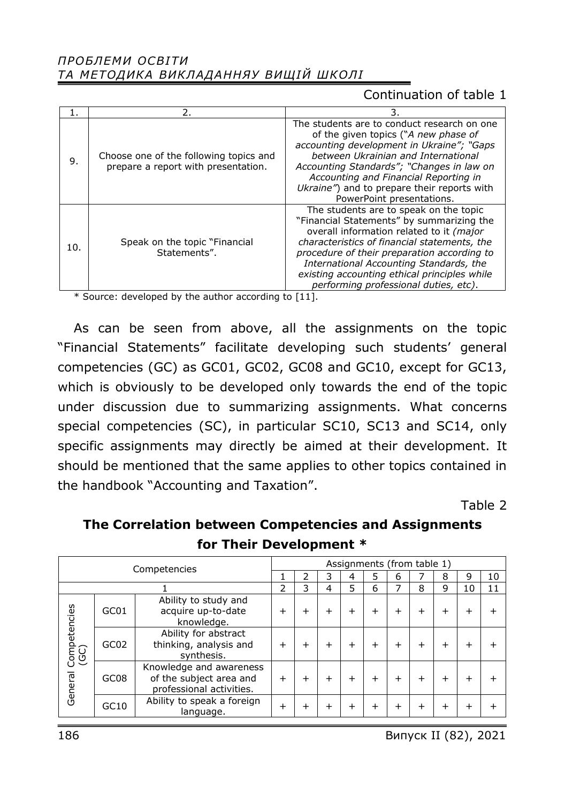### Continuation of table 1

|     | 2.                                                                            | 3.                                                                                                                                                                                                                                                                                                                                                                 |
|-----|-------------------------------------------------------------------------------|--------------------------------------------------------------------------------------------------------------------------------------------------------------------------------------------------------------------------------------------------------------------------------------------------------------------------------------------------------------------|
| 9.  | Choose one of the following topics and<br>prepare a report with presentation. | The students are to conduct research on one<br>of the given topics ("A new phase of<br>accounting development in Ukraine"; "Gaps<br>between Ukrainian and International<br>Accounting Standards"; "Changes in law on<br>Accounting and Financial Reporting in<br>Ukraine") and to prepare their reports with<br>PowerPoint presentations.                          |
| 10. | Speak on the topic "Financial"<br>Statements".                                | The students are to speak on the topic<br>"Financial Statements" by summarizing the<br>overall information related to it (major<br>characteristics of financial statements, the<br>procedure of their preparation according to<br>International Accounting Standards, the<br>existing accounting ethical principles while<br>performing professional duties, etc). |

\* Source: developed by the author according to [11].

As can be seen from above, all the assignments on the topic "Financial Statements" facilitate developing such students' general competencies (GC) as GC01, GC02, GC08 and GC10, except for GC13, which is obviously to be developed only towards the end of the topic under discussion due to summarizing assignments. What concerns special competencies (SC), in particular SC10, SC13 and SC14, only specific assignments may directly be aimed at their development. It should be mentioned that the same applies to other topics contained in the handbook "Accounting and Taxation".

Table 2

| The Correlation between Competencies and Assignments |  |  |  |  |  |  |  |
|------------------------------------------------------|--|--|--|--|--|--|--|
| for Their Development *                              |  |  |  |  |  |  |  |
|                                                      |  |  |  |  |  |  |  |

| Competencies                    |                  |                                                                                | Assignments (from table 1) |   |   |   |           |           |        |              |              |    |  |
|---------------------------------|------------------|--------------------------------------------------------------------------------|----------------------------|---|---|---|-----------|-----------|--------|--------------|--------------|----|--|
|                                 |                  |                                                                                |                            |   |   |   |           | ь         |        | 8            | 9            | 10 |  |
|                                 |                  |                                                                                | フ                          | 3 | 4 | 5 | 6         | ⇁         | 8      | 9            | 10           | 11 |  |
| Competencies<br>(GC)<br>General | GC01             | Ability to study and<br>acquire up-to-date<br>knowledge.                       | ┿                          |   |   |   | $\div$    | $\ddot{}$ | ┿      | +            | +            |    |  |
|                                 | GC <sub>02</sub> | Ability for abstract<br>thinking, analysis and<br>synthesis.                   | $\,{}^+$                   | ┿ |   |   | $\ddot{}$ | $\pm$     | +      | $\mathrm{+}$ | $\mathrm{+}$ |    |  |
|                                 | GC <sub>08</sub> | Knowledge and awareness<br>of the subject area and<br>professional activities. | $\ddot{}$                  | + |   |   | $\div$    | $\ddot{}$ | $\div$ | $\mathrm{+}$ | $+$          |    |  |
|                                 | GC10             | Ability to speak a foreign<br>language.                                        | +                          | ┿ |   |   | $\div$    | $\div$    | $\div$ | $\mathrm{+}$ | $\div$       |    |  |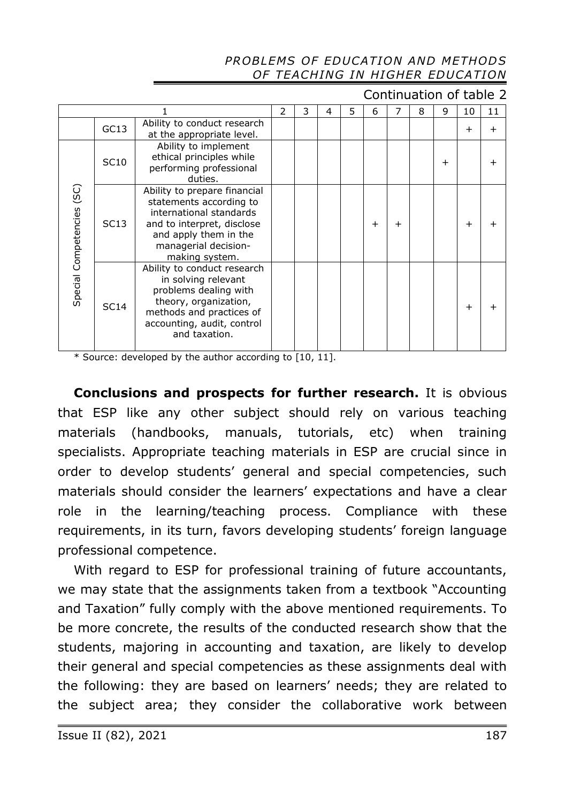Continuation of table 2

|                              |      | 2                                                                                                                                                                                   | 3 | 4 | 5 | 6 | 7         | 8         | 9 | 10    | 11             |                |
|------------------------------|------|-------------------------------------------------------------------------------------------------------------------------------------------------------------------------------------|---|---|---|---|-----------|-----------|---|-------|----------------|----------------|
|                              | GC13 | Ability to conduct research<br>at the appropriate level.                                                                                                                            |   |   |   |   |           |           |   |       | $\overline{+}$ | $\overline{+}$ |
| (SC)<br>Special Competencies | SC10 | Ability to implement<br>ethical principles while<br>performing professional<br>duties.                                                                                              |   |   |   |   |           |           |   | $\pm$ |                |                |
|                              | SC13 | Ability to prepare financial<br>statements according to<br>international standards<br>and to interpret, disclose<br>and apply them in the<br>managerial decision-<br>making system. |   |   |   |   | $\ddot{}$ | $\ddot{}$ |   |       | $\ddot{}$      | +              |
|                              | SC14 | Ability to conduct research<br>in solving relevant<br>problems dealing with<br>theory, organization,<br>methods and practices of<br>accounting, audit, control<br>and taxation.     |   |   |   |   |           |           |   |       | $\ddot{}$      | ╅              |

\* Source: developed by the author according to [10, 11].

**Conclusions and prospects for further research.** It is obvious that ESP like any other subject should rely on various teaching materials (handbooks, manuals, tutorials, etc) when training specialists. Appropriate teaching materials in ESP are crucial since in order to develop students' general and special competencies, such materials should consider the learners' expectations and have a clear role in the learning/teaching process. Compliance with these requirements, in its turn, favors developing students' foreign language professional competence.

With regard to ESP for professional training of future accountants, we may state that the assignments taken from a textbook "Accounting and Taxation" fully comply with the above mentioned requirements. To be more concrete, the results of the conducted research show that the students, majoring in accounting and taxation, are likely to develop their general and special competencies as these assignments deal with the following: they are based on learners' needs; they are related to the subject area; they consider the collaborative work between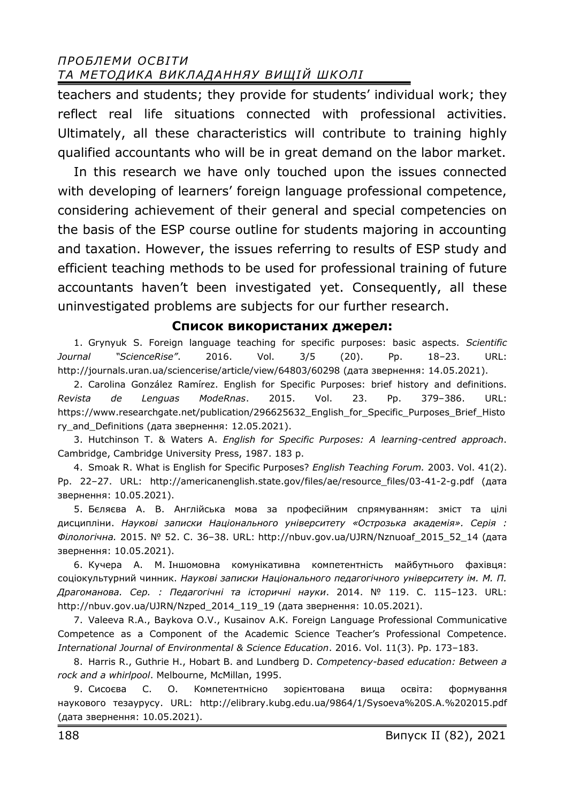teachers and students; they provide for students' individual work; they reflect real life situations connected with professional activities. Ultimately, all these characteristics will contribute to training highly qualified accountants who will be in great demand on the labor market.

In this research we have only touched upon the issues connected with developing of learners' foreign language professional competence, considering achievement of their general and special competencies on the basis of the ESP course outline for students majoring in accounting and taxation. However, the issues referring to results of ESP study and efficient teaching methods to be used for professional training of future accountants haven't been investigated yet. Consequently, all these uninvestigated problems are subjects for our further research.

### **Список використаних джерел:**

1. Grynyuk S. Foreign language teaching for specific purposes: basic aspects. *Scientific Journal "ScienceRise"*. 2016. Vol. 3/5 (20). Pp. 18–23. URL: http://journals.uran.ua/sciencerise/article/view/64803/60298 (дата звернення: 14.05.2021).

2. Carolina González Ramírez. English for Specific Purposes: brief history and definitions. *Revista de Lenguas ModeRnas*. 2015. Vol. 23. Pp. 379–386. URL: https://www.researchgate.net/publication/296625632\_English\_for\_Specific\_Purposes\_Brief\_Histo ry\_and\_Definitions (дата звернення: 12.05.2021).

3. Hutchinson T. & Waters A. *English for Specific Purposes: A learning-centred approach*. Cambridge, Cambridge University Press, 1987. 183 p.

4. Smoak R. What is English for Specific Purposes? *English Teaching Forum.* 2003. Vol. 41(2). Pp. 22–27. URL: http://americanenglish.state.gov/files/ae/resource\_files/03-41-2-g.pdf (дата звернення: 10.05.2021).

5. Бєляєва А. В. Англійська мова за професійним спрямуванням: зміст та цілі дисципліни. *Наукові записки Національного університету «Острозька академія». Серія : Філологічна.* 2015. № 52. С. 36–38. URL: http://nbuv.gov.ua/UJRN/Nznuoaf\_2015\_52\_14 (дата звернення: 10.05.2021).

6. Кучера А. М. Іншомовна комунікативна компетентність майбутнього фахівця: соціокультурний чинник. *Наукові записки Національного педагогічного університету ім. М. П. Драгоманова. Сер. : Педагогічні та історичні науки*. 2014. № 119. С. 115–123. URL: http://nbuv.gov.ua/UJRN/Nzped\_2014\_119\_19 (дата звернення: 10.05.2021).

7. Valeeva R.A., Baykova O.V., Kusainov A.K. Foreign Language Professional Communicative Competence as a Component of the Academic Science Teacher's Professional Competence. *International Journal of Environmental & Science Education*. 2016. Vol. 11(3). Pp. 173–183.

8. Harris R., Guthrie H., Hobart B. and Lundberg D. *Competency-based education: Between a rock and a whirlpool*. Melbourne, McMillan, 1995.

9. Сисоєва С. О. Компетентнісно зорієнтована вища освіта: формування наукового тезаурусу. URL: http://elibrary.kubg.edu.ua/9864/1/Sysoeva%20S.A.%202015.pdf (дата звернення: 10.05.2021).